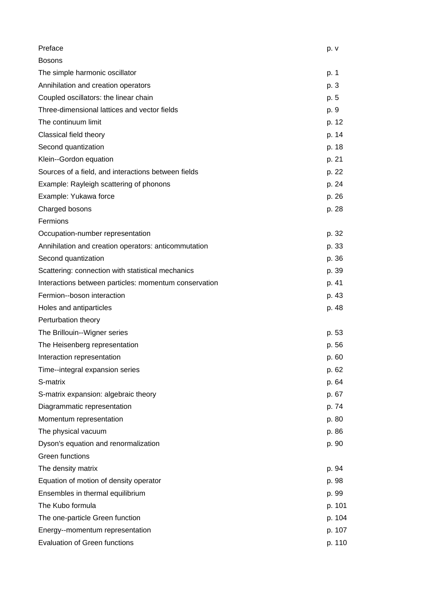| Preface                                               | p. v   |
|-------------------------------------------------------|--------|
| <b>Bosons</b>                                         |        |
| The simple harmonic oscillator                        | p. 1   |
| Annihilation and creation operators                   | p. 3   |
| Coupled oscillators: the linear chain                 | p. 5   |
| Three-dimensional lattices and vector fields          | p. 9   |
| The continuum limit                                   | p. 12  |
| Classical field theory                                | p. 14  |
| Second quantization                                   | p. 18  |
| Klein--Gordon equation                                | p. 21  |
| Sources of a field, and interactions between fields   | p. 22  |
| Example: Rayleigh scattering of phonons               | p. 24  |
| Example: Yukawa force                                 | p. 26  |
| Charged bosons                                        | p. 28  |
| Fermions                                              |        |
| Occupation-number representation                      | p. 32  |
| Annihilation and creation operators: anticommutation  | p. 33  |
| Second quantization                                   | p. 36  |
| Scattering: connection with statistical mechanics     | p. 39  |
| Interactions between particles: momentum conservation | p. 41  |
| Fermion--boson interaction                            | p. 43  |
| Holes and antiparticles                               | p. 48  |
| Perturbation theory                                   |        |
| The Brillouin--Wigner series                          | p. 53  |
| The Heisenberg representation                         | p. 56  |
| Interaction representation                            | p. 60  |
| Time--integral expansion series                       | p. 62  |
| S-matrix                                              | p. 64  |
| S-matrix expansion: algebraic theory                  | p. 67  |
| Diagrammatic representation                           | p. 74  |
| Momentum representation                               | p. 80  |
| The physical vacuum                                   | p. 86  |
| Dyson's equation and renormalization                  | p. 90  |
| Green functions                                       |        |
| The density matrix                                    | p. 94  |
| Equation of motion of density operator                | p. 98  |
| Ensembles in thermal equilibrium                      | p. 99  |
| The Kubo formula                                      | p. 101 |
| The one-particle Green function                       | p. 104 |
| Energy--momentum representation                       | p. 107 |
| <b>Evaluation of Green functions</b>                  | p. 110 |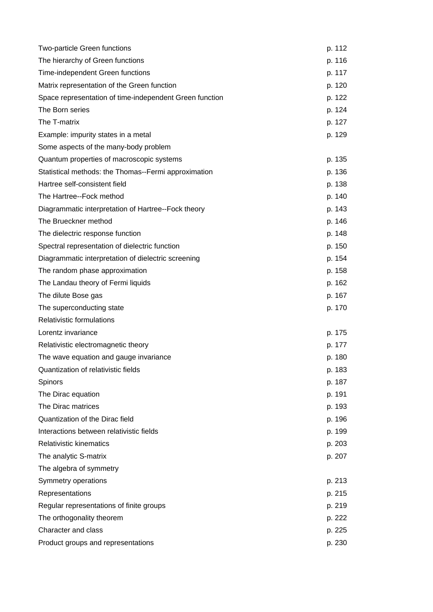| Two-particle Green functions                            | p. 112 |
|---------------------------------------------------------|--------|
| The hierarchy of Green functions                        | p. 116 |
| Time-independent Green functions                        | p. 117 |
| Matrix representation of the Green function             | p. 120 |
| Space representation of time-independent Green function | p. 122 |
| The Born series                                         | p. 124 |
| The T-matrix                                            | p. 127 |
| Example: impurity states in a metal                     | p. 129 |
| Some aspects of the many-body problem                   |        |
| Quantum properties of macroscopic systems               | p. 135 |
| Statistical methods: the Thomas--Fermi approximation    | p. 136 |
| Hartree self-consistent field                           | p. 138 |
| The Hartree--Fock method                                | p. 140 |
| Diagrammatic interpretation of Hartree--Fock theory     | p. 143 |
| The Brueckner method                                    | p. 146 |
| The dielectric response function                        | p. 148 |
| Spectral representation of dielectric function          | p. 150 |
| Diagrammatic interpretation of dielectric screening     | p. 154 |
| The random phase approximation                          | p. 158 |
| The Landau theory of Fermi liquids                      | p. 162 |
| The dilute Bose gas                                     | p. 167 |
| The superconducting state                               | p. 170 |
| <b>Relativistic formulations</b>                        |        |
| Lorentz invariance                                      | p. 175 |
| Relativistic electromagnetic theory                     | p. 177 |
| The wave equation and gauge invariance                  | p. 180 |
| Quantization of relativistic fields                     | p. 183 |
| Spinors                                                 | p. 187 |
| The Dirac equation                                      | p. 191 |
| The Dirac matrices                                      | p. 193 |
| Quantization of the Dirac field                         | p. 196 |
| Interactions between relativistic fields                | p. 199 |
| <b>Relativistic kinematics</b>                          | p. 203 |
| The analytic S-matrix                                   | p. 207 |
| The algebra of symmetry                                 |        |
| Symmetry operations                                     | p. 213 |
| Representations                                         | p. 215 |
| Regular representations of finite groups                | p. 219 |
| The orthogonality theorem                               | p. 222 |
| Character and class                                     | p. 225 |
| Product groups and representations                      | p. 230 |